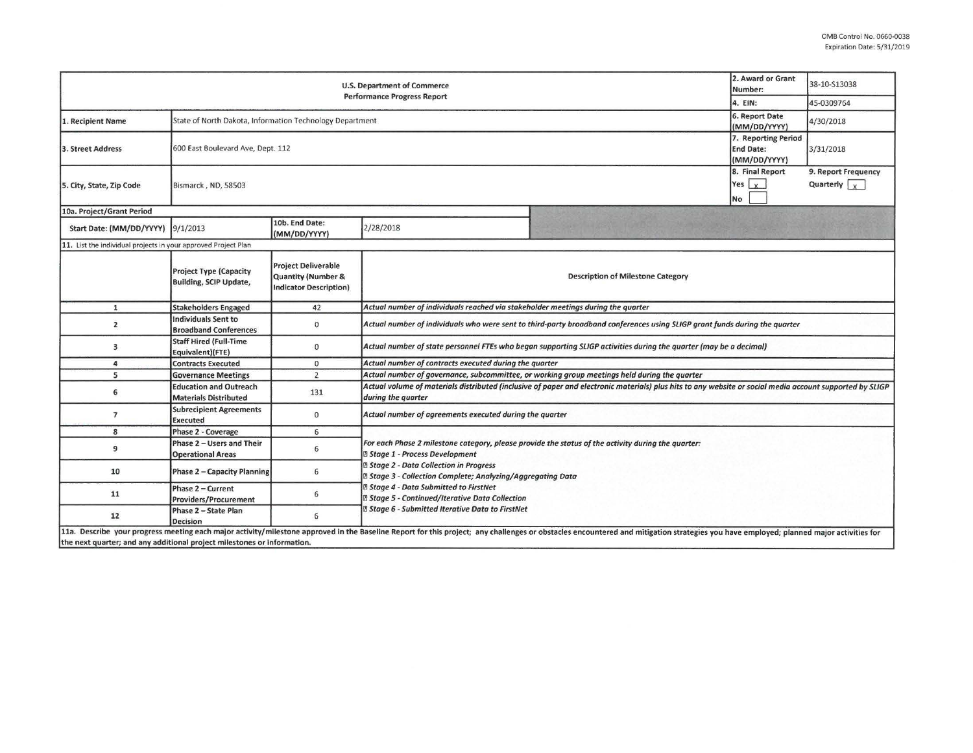| U.S. Department of Commerce                                             |                                                                                              |                                                                                   |                                                                                                                                                                                                                                                                                                                                                                                                                              |                                                                                                                                                                                                                                | 2. Award or Grant<br>Number:     | 38-10-S13038                                |  |  |
|-------------------------------------------------------------------------|----------------------------------------------------------------------------------------------|-----------------------------------------------------------------------------------|------------------------------------------------------------------------------------------------------------------------------------------------------------------------------------------------------------------------------------------------------------------------------------------------------------------------------------------------------------------------------------------------------------------------------|--------------------------------------------------------------------------------------------------------------------------------------------------------------------------------------------------------------------------------|----------------------------------|---------------------------------------------|--|--|
| <b>Performance Progress Report</b><br>4. EIN:                           |                                                                                              |                                                                                   |                                                                                                                                                                                                                                                                                                                                                                                                                              |                                                                                                                                                                                                                                |                                  | 45-0309764                                  |  |  |
| 1. Recipient Name                                                       | State of North Dakota, Information Technology Department                                     |                                                                                   |                                                                                                                                                                                                                                                                                                                                                                                                                              |                                                                                                                                                                                                                                | 6. Report Date<br>(MM/DD/YYYY)   | 4/30/2018                                   |  |  |
| 3. Street Address                                                       | 7. Reporting Period<br>600 East Boulevard Ave, Dept. 112<br><b>End Date:</b><br>(MM/DD/YYYY) |                                                                                   |                                                                                                                                                                                                                                                                                                                                                                                                                              |                                                                                                                                                                                                                                |                                  | 3/31/2018                                   |  |  |
| 5. City, State, Zip Code                                                | Bismarck, ND, 58503                                                                          |                                                                                   |                                                                                                                                                                                                                                                                                                                                                                                                                              |                                                                                                                                                                                                                                | 8. Final Report<br>Yes $x$<br>No | 9. Report Frequency<br>Quarterly $\sqrt{x}$ |  |  |
| 10a. Project/Grant Period                                               |                                                                                              |                                                                                   |                                                                                                                                                                                                                                                                                                                                                                                                                              |                                                                                                                                                                                                                                |                                  |                                             |  |  |
| Start Date: (MM/DD/YYYY)                                                | 9/1/2013                                                                                     | 10b. End Date:<br>(MM/DD/YYYY)                                                    | 2/28/2018                                                                                                                                                                                                                                                                                                                                                                                                                    |                                                                                                                                                                                                                                |                                  |                                             |  |  |
| 11. List the individual projects in your approved Project Plan          |                                                                                              |                                                                                   |                                                                                                                                                                                                                                                                                                                                                                                                                              |                                                                                                                                                                                                                                |                                  |                                             |  |  |
|                                                                         | <b>Project Type (Capacity</b><br><b>Building, SCIP Update,</b>                               | <b>Project Deliverable</b><br>Quantity (Number &<br><b>Indicator Description)</b> | <b>Description of Milestone Category</b>                                                                                                                                                                                                                                                                                                                                                                                     |                                                                                                                                                                                                                                |                                  |                                             |  |  |
| $\mathbf{1}$                                                            | <b>Stakeholders Engaged</b>                                                                  | 42                                                                                | Actual number of individuals reached via stakeholder meetings during the quarter                                                                                                                                                                                                                                                                                                                                             |                                                                                                                                                                                                                                |                                  |                                             |  |  |
| $\overline{2}$                                                          | <b>Individuals Sent to</b><br><b>Broadband Conferences</b>                                   | $\mathbf 0$                                                                       | Actual number of individuals who were sent to third-party broadband conferences using SLIGP grant funds during the quarter                                                                                                                                                                                                                                                                                                   |                                                                                                                                                                                                                                |                                  |                                             |  |  |
| 3                                                                       | <b>Staff Hired (Full-Time</b><br>Equivalent)(FTE)                                            | 0                                                                                 | Actual number of state personnel FTEs who began supporting SLIGP activities during the quarter (may be a decimal)                                                                                                                                                                                                                                                                                                            |                                                                                                                                                                                                                                |                                  |                                             |  |  |
| 4                                                                       | <b>Contracts Executed</b>                                                                    | $\mathbf 0$                                                                       | Actual number of contracts executed during the quarter                                                                                                                                                                                                                                                                                                                                                                       |                                                                                                                                                                                                                                |                                  |                                             |  |  |
| 5                                                                       | <b>Governance Meetings</b>                                                                   | $\overline{2}$                                                                    | Actual number of governance, subcommittee, or working group meetings held during the quarter                                                                                                                                                                                                                                                                                                                                 |                                                                                                                                                                                                                                |                                  |                                             |  |  |
| 6                                                                       | <b>Education and Outreach</b><br><b>Materials Distributed</b>                                | 131                                                                               | Actual volume of materials distributed (inclusive of paper and electronic materials) plus hits to any website or social media account supported by SLIGP<br>during the quarter                                                                                                                                                                                                                                               |                                                                                                                                                                                                                                |                                  |                                             |  |  |
| 7                                                                       | <b>Subrecipient Agreements</b><br><b>Executed</b>                                            | $\Omega$                                                                          | Actual number of agreements executed during the quarter                                                                                                                                                                                                                                                                                                                                                                      |                                                                                                                                                                                                                                |                                  |                                             |  |  |
| 8                                                                       | Phase 2 - Coverage                                                                           | 6                                                                                 |                                                                                                                                                                                                                                                                                                                                                                                                                              |                                                                                                                                                                                                                                |                                  |                                             |  |  |
| 9                                                                       | Phase 2 - Users and Their<br><b>Operational Areas</b>                                        | 6                                                                                 | For each Phase 2 milestone category, please provide the status of the activity during the quarter:<br><b>2 Stage 1 - Process Development</b><br><b>2 Stage 2 - Data Collection in Progress</b><br>2 Stage 3 - Collection Complete; Analyzing/Aggregating Data<br><b>2 Stage 4 - Data Submitted to FirstNet</b><br><b>図 Stage 5 - Continued/Iterative Data Collection</b><br>2 Stage 6 - Submitted Iterative Data to FirstNet |                                                                                                                                                                                                                                |                                  |                                             |  |  |
| 10                                                                      | Phase 2 - Capacity Planning                                                                  | 6                                                                                 |                                                                                                                                                                                                                                                                                                                                                                                                                              |                                                                                                                                                                                                                                |                                  |                                             |  |  |
| 11                                                                      | Phase 2 - Current<br><b>Providers/Procurement</b>                                            | 6                                                                                 |                                                                                                                                                                                                                                                                                                                                                                                                                              |                                                                                                                                                                                                                                |                                  |                                             |  |  |
| 12                                                                      | Phase 2 - State Plan<br>Decision                                                             | 6                                                                                 |                                                                                                                                                                                                                                                                                                                                                                                                                              |                                                                                                                                                                                                                                |                                  |                                             |  |  |
| the next quarter; and any additional project milestones or information. |                                                                                              |                                                                                   |                                                                                                                                                                                                                                                                                                                                                                                                                              | 11a. Describe your progress meeting each major activity/milestone approved in the Baseline Report for this project; any challenges or obstacles encountered and mitigation strategies you have employed; planned major activit |                                  |                                             |  |  |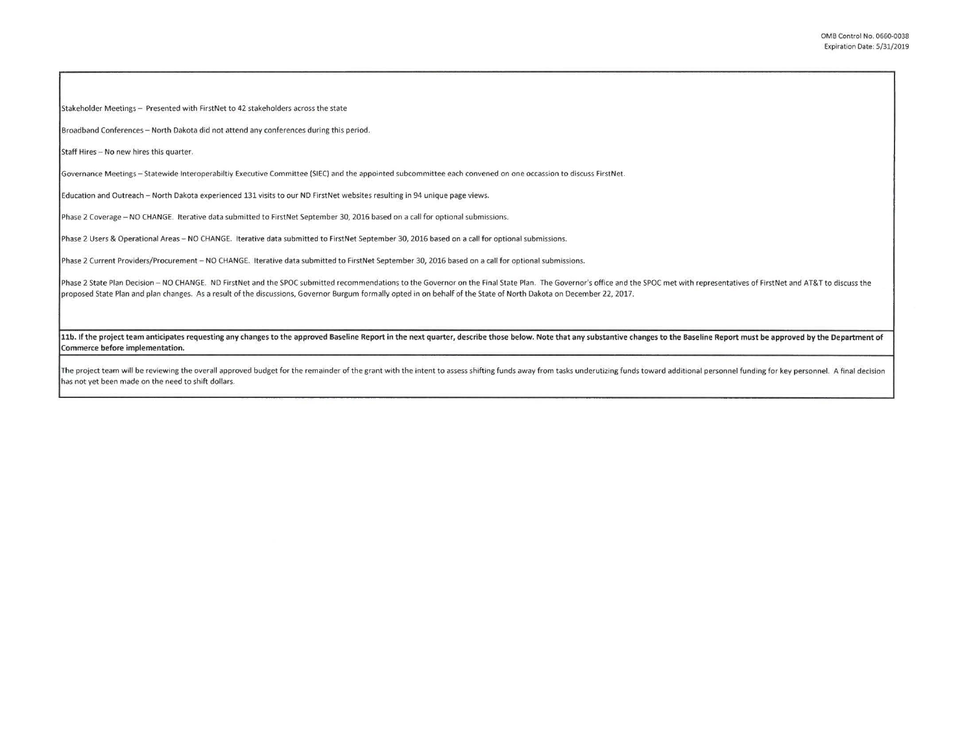Stakeholder Meetings - Presented with FirstNet to 42 stakeholders across the state

Broadband Conferences - North Dakota did not attend any conferences during this period.

Staff Hires - No new hires this quarter.

Governance Meetings - Statewide Interoperabiltiy Executive Committee (SIEC) and the appointed subcommittee each convened on one occassion to discuss FirstNet.

Education and Outreach - North Dakota experienced 131 visits to our ND FirstNet websites resulting in 94 unique page views.

Phase 2 Coverage - NO CHANGE. Iterative data submitted to FirstNet September 30, 2016 based on a call for optional submissions.

Phase 2 Users & Operational Areas - NO CHANGE. Iterative data submitted to FirstNet September 30, 2016 based on a call for optional submissions.

Phase 2 Current Providers/Procurement - NO CHANGE. Iterative data submitted to FirstNet September 30, 2016 based on a call for optional submissions.

Phase 2 State Plan Decision - NO CHANGE. ND FirstNet and the SPOC submitted recommendations to the Governor on the Final State Plan. The Governor's office and the SPOC met with representatives of FirstNet and AT&T to discu proposed State Plan and plan changes. As a result of the discussions, Governor Burgum formally opted in on behalf of the State of North Dakota on December 22, 2017.

11b. If the project team anticipates requesting any changes to the approved Baseline Report in the next quarter, describe those below. Note that any substantive changes to the Baseline Report must be approved by the Depart Commerce before implementation.

The project team will be reviewing the overall approved budget for the remainder of the grant with the intent to assess shifting funds away from tasks underutizing funds toward additional personnel funding for key personne has not yet been made on the need to shift dollars.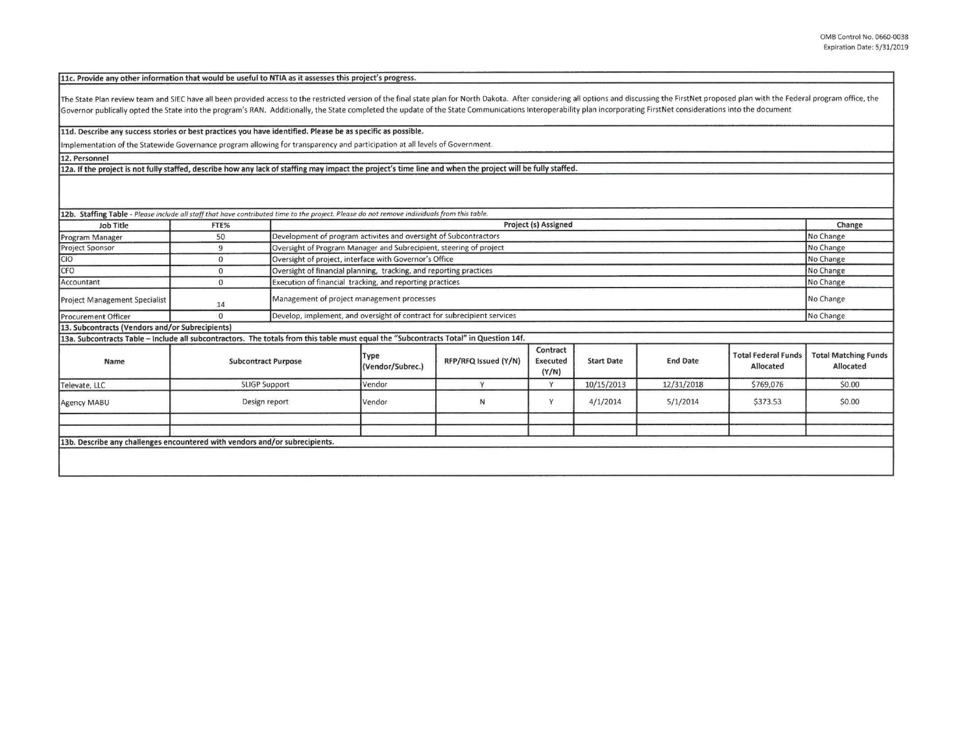**llc. Provide any other information that would be useful to NTIA as it assesses this project's progress.** 

The State Plan review team and SIEC have all been provided access to the restricted version of the final state plan for North Dakota. After considering all options and discussing the FirstNet proposed plan with the Federal Governor publically opted the State into the program's RAN. Additionally, the State completed the update of the State Communications Interoperability plan incorporating FirstNet considerations into the document

**lld. Describe any success stories or best practices you have identified. Please be as specific as possible.** 

Implementation of the Statewide Governance program allowing for transparency and participation at all levels of Government.

**12. Personnel** 

**12a. If the project is not fully staffed, describe how any lack of staffing may impact the project's time line and when the project will be fully staffed.** 

| Job Title                                                                                                                             | FTE%                 |                            | Project (s) Assigned                                                                 |                      |                                      |                   |                 |                                         | Change                                   |
|---------------------------------------------------------------------------------------------------------------------------------------|----------------------|----------------------------|--------------------------------------------------------------------------------------|----------------------|--------------------------------------|-------------------|-----------------|-----------------------------------------|------------------------------------------|
| Program Manager                                                                                                                       | 50                   |                            | Development of program activites and oversight of Subcontractors                     |                      |                                      |                   |                 |                                         | No Change                                |
| <b>Project Sponsor</b>                                                                                                                | 9                    |                            | Oversight of Program Manager and Subrecipient, steering of project                   |                      |                                      |                   |                 |                                         | No Change                                |
| CIO                                                                                                                                   | $\Omega$             |                            | Oversight of project, interface with Governor's Office                               |                      |                                      |                   |                 |                                         | No Change                                |
| CFO                                                                                                                                   |                      |                            | Oversight of financial planning, tracking, and reporting practices                   |                      |                                      |                   |                 |                                         | No Change                                |
| Accountant                                                                                                                            | $\Omega$             |                            | Execution of financial tracking, and reporting practices                             |                      |                                      |                   |                 | No Change                               |                                          |
| <b>Project Management Specialist</b>                                                                                                  | 14                   |                            | Management of project management processes                                           |                      |                                      |                   |                 |                                         | No Change                                |
| <b>Procurement Officer</b>                                                                                                            | $\Omega$             |                            | Develop, implement, and oversight of contract for subrecipient services<br>No Change |                      |                                      |                   |                 |                                         |                                          |
| 13. Subcontracts (Vendors and/or Subrecipients)                                                                                       |                      |                            |                                                                                      |                      |                                      |                   |                 |                                         |                                          |
| 13a. Subcontracts Table - Include all subcontractors. The totals from this table must equal the "Subcontracts Total" in Question 14f. |                      |                            |                                                                                      |                      |                                      |                   |                 |                                         |                                          |
| Name                                                                                                                                  |                      | <b>Subcontract Purpose</b> | Type<br>(Vendor/Subrec.)                                                             | RFP/RFQ Issued (Y/N) | Contract<br><b>Executed</b><br>(Y/N) | <b>Start Date</b> | <b>End Date</b> | <b>Total Federal Funds</b><br>Allocated | <b>Total Matching Funds</b><br>Allocated |
| Televate, LLC                                                                                                                         | <b>SLIGP Support</b> |                            | Vendor                                                                               | $\vee$               | Y                                    | 10/15/2013        | 12/31/2018      | \$769,076                               | \$0.00                                   |
| Agency MABU                                                                                                                           | Design report        |                            | Vendor                                                                               | N                    | v                                    | 4/1/2014          | 5/1/2014        | \$373.53                                | \$0.00                                   |
|                                                                                                                                       |                      |                            |                                                                                      |                      |                                      |                   |                 |                                         |                                          |
| 13b. Describe any challenges encountered with vendors and/or subrecipients.                                                           |                      |                            |                                                                                      |                      |                                      |                   |                 |                                         |                                          |
|                                                                                                                                       |                      |                            |                                                                                      |                      |                                      |                   |                 |                                         |                                          |